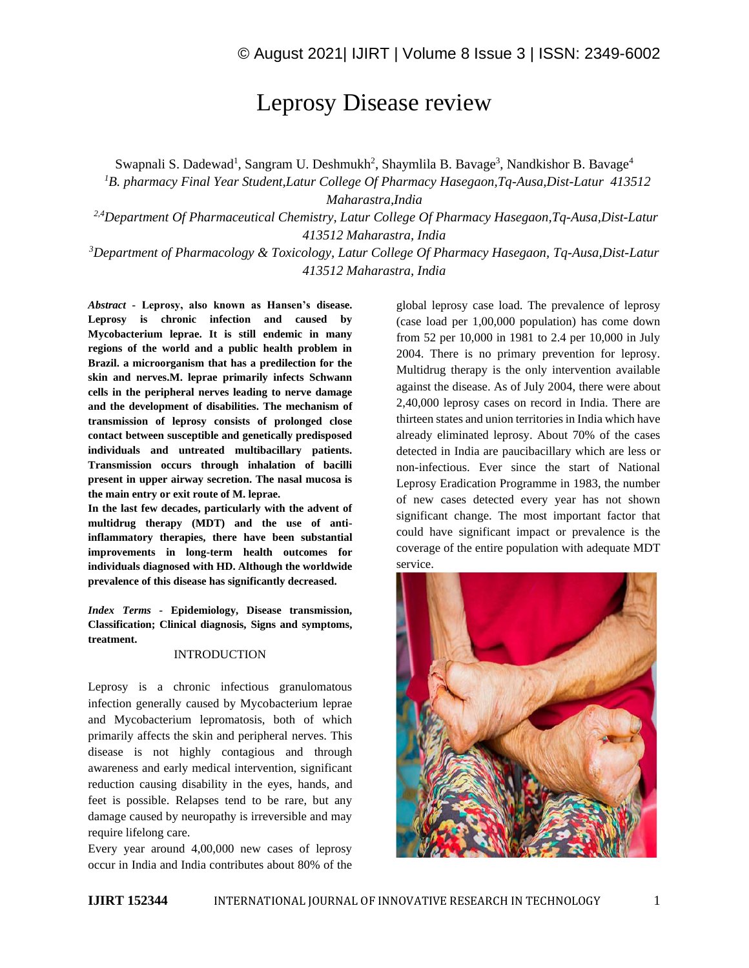# Leprosy Disease review

Swapnali S. Dadewad<sup>1</sup>, Sangram U. Deshmukh<sup>2</sup>, Shaymlila B. Bavage<sup>3</sup>, Nandkishor B. Bavage<sup>4</sup>

*<sup>1</sup>B. pharmacy Final Year Student,Latur College Of Pharmacy Hasegaon,Tq-Ausa,Dist-Latur 413512 Maharastra,India*

*2,4Department Of Pharmaceutical Chemistry, Latur College Of Pharmacy Hasegaon,Tq-Ausa,Dist-Latur 413512 Maharastra, India*

*<sup>3</sup>Department of Pharmacology & Toxicology, Latur College Of Pharmacy Hasegaon, Tq-Ausa,Dist-Latur 413512 Maharastra, India*

*Abstract -* **Leprosy, also known as Hansen's disease. Leprosy is chronic infection and caused by Mycobacterium leprae. It is still endemic in many regions of the world and a public health problem in Brazil. a microorganism that has a predilection for the skin and nerves.M. leprae primarily infects Schwann cells in the peripheral nerves leading to nerve damage and the development of disabilities. The mechanism of transmission of leprosy consists of prolonged close contact between susceptible and genetically predisposed individuals and untreated multibacillary patients. Transmission occurs through inhalation of bacilli present in upper airway secretion. The nasal mucosa is the main entry or exit route of M. leprae.** 

**In the last few decades, particularly with the advent of multidrug therapy (MDT) and the use of antiinflammatory therapies, there have been substantial improvements in long-term health outcomes for individuals diagnosed with HD. Although the worldwide prevalence of this disease has significantly decreased.**

*Index Terms -* **Epidemiology, Disease transmission, Classification; Clinical diagnosis, Signs and symptoms, treatment.**

#### INTRODUCTION

Leprosy is a chronic infectious granulomatous infection generally caused by Mycobacterium leprae and Mycobacterium lepromatosis, both of which primarily affects the skin and peripheral nerves. This disease is not highly contagious and through awareness and early medical intervention, significant reduction causing disability in the eyes, hands, and feet is possible. Relapses tend to be rare, but any damage caused by neuropathy is irreversible and may require lifelong care.

Every year around 4,00,000 new cases of leprosy occur in India and India contributes about 80% of the global leprosy case load. The prevalence of leprosy (case load per 1,00,000 population) has come down from 52 per 10,000 in 1981 to 2.4 per 10,000 in July 2004. There is no primary prevention for leprosy. Multidrug therapy is the only intervention available against the disease. As of July 2004, there were about 2,40,000 leprosy cases on record in India. There are thirteen states and union territories in India which have already eliminated leprosy. About 70% of the cases detected in India are paucibacillary which are less or non-infectious. Ever since the start of National Leprosy Eradication Programme in 1983, the number of new cases detected every year has not shown significant change. The most important factor that could have significant impact or prevalence is the coverage of the entire population with adequate MDT service.

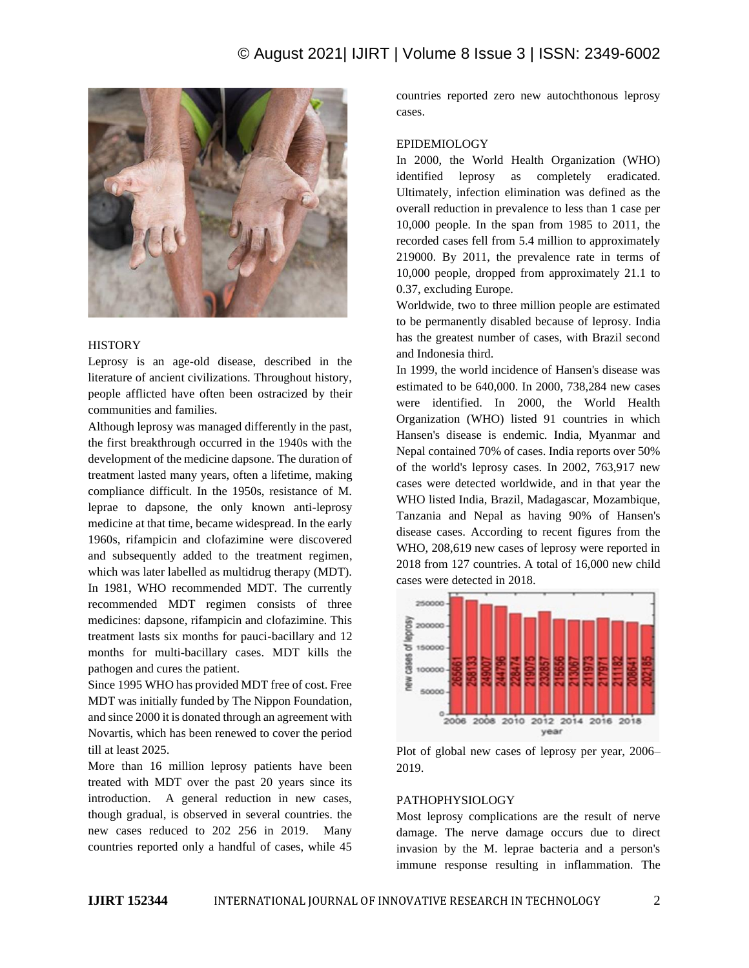# © August 2021| IJIRT | Volume 8 Issue 3 | ISSN: 2349-6002



#### **HISTORY**

Leprosy is an age-old disease, described in the literature of ancient civilizations. Throughout history, people afflicted have often been ostracized by their communities and families.

Although leprosy was managed differently in the past, the first breakthrough occurred in the 1940s with the development of the medicine dapsone. The duration of treatment lasted many years, often a lifetime, making compliance difficult. In the 1950s, resistance of M. leprae to dapsone, the only known anti-leprosy medicine at that time, became widespread. In the early 1960s, rifampicin and clofazimine were discovered and subsequently added to the treatment regimen, which was later labelled as multidrug therapy (MDT). In 1981, WHO recommended MDT. The currently recommended MDT regimen consists of three medicines: dapsone, rifampicin and clofazimine. This treatment lasts six months for pauci-bacillary and 12 months for multi-bacillary cases. MDT kills the pathogen and cures the patient.

Since 1995 WHO has provided MDT free of cost. Free MDT was initially funded by The Nippon Foundation, and since 2000 it is donated through an agreement with Novartis, which has been renewed to cover the period till at least 2025.

More than 16 million leprosy patients have been treated with MDT over the past 20 years since its introduction. A general reduction in new cases, though gradual, is observed in several countries. the new cases reduced to 202 256 in 2019. Many countries reported only a handful of cases, while 45 countries reported zero new autochthonous leprosy cases.

#### EPIDEMIOLOGY

In 2000, the World Health Organization (WHO) identified leprosy as completely eradicated. Ultimately, infection elimination was defined as the overall reduction in prevalence to less than 1 case per 10,000 people. In the span from 1985 to 2011, the recorded cases fell from 5.4 million to approximately 219000. By 2011, the prevalence rate in terms of 10,000 people, dropped from approximately 21.1 to 0.37, excluding Europe.

Worldwide, two to three million people are estimated to be permanently disabled because of leprosy. India has the greatest number of cases, with Brazil second and Indonesia third.

In 1999, the world incidence of Hansen's disease was estimated to be 640,000. In 2000, 738,284 new cases were identified. In 2000, the World Health Organization (WHO) listed 91 countries in which Hansen's disease is endemic. India, Myanmar and Nepal contained 70% of cases. India reports over 50% of the world's leprosy cases. In 2002, 763,917 new cases were detected worldwide, and in that year the WHO listed India, Brazil, Madagascar, Mozambique, Tanzania and Nepal as having 90% of Hansen's disease cases. According to recent figures from the WHO, 208,619 new cases of leprosy were reported in 2018 from 127 countries. A total of 16,000 new child cases were detected in 2018.



Plot of global new cases of leprosy per year, 2006– 2019.

#### PATHOPHYSIOLOGY

Most leprosy complications are the result of nerve damage. The nerve damage occurs due to direct invasion by the M. leprae bacteria and a person's immune response resulting in inflammation. The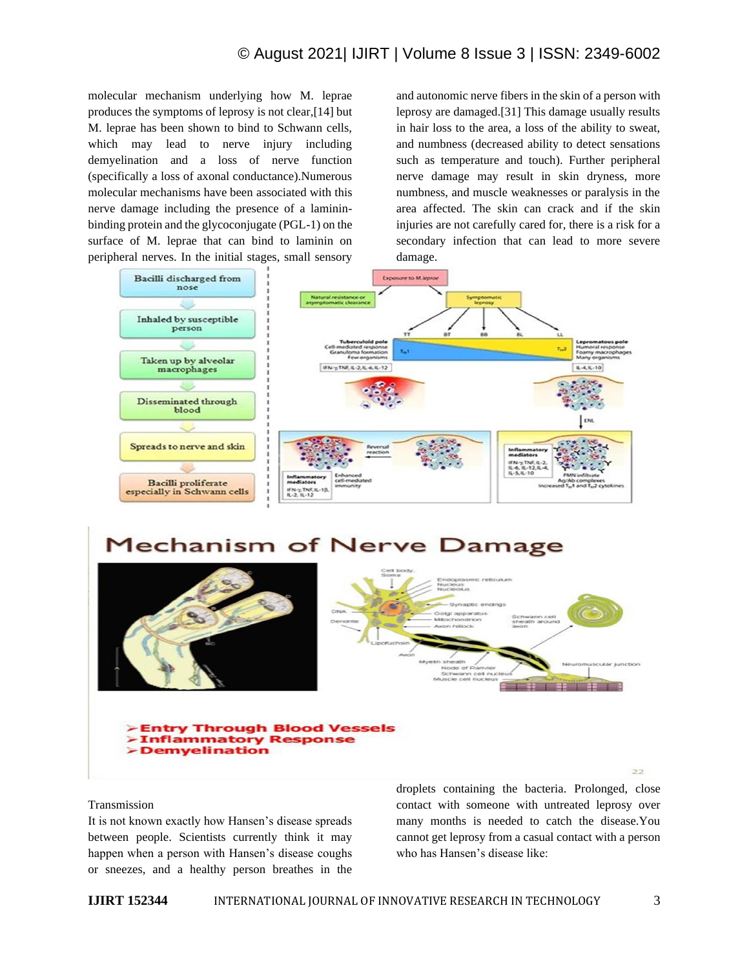# © August 2021| IJIRT | Volume 8 Issue 3 | ISSN: 2349-6002

molecular mechanism underlying how M. leprae produces the symptoms of leprosy is not clear,[14] but M. leprae has been shown to bind to Schwann cells, which may lead to nerve injury including demyelination and a loss of nerve function (specifically a loss of axonal conductance).Numerous molecular mechanisms have been associated with this nerve damage including the presence of a lamininbinding protein and the glycoconjugate (PGL-1) on the surface of M. leprae that can bind to laminin on peripheral nerves. In the initial stages, small sensory and autonomic nerve fibers in the skin of a person with leprosy are damaged.[31] This damage usually results in hair loss to the area, a loss of the ability to sweat, and numbness (decreased ability to detect sensations such as temperature and touch). Further peripheral nerve damage may result in skin dryness, more numbness, and muscle weaknesses or paralysis in the area affected. The skin can crack and if the skin injuries are not carefully cared for, there is a risk for a secondary infection that can lead to more severe damage.



# **Mechanism of Nerve Damage**





**>Entry Through Blood Vessels Inflammatory Response >Demyelination** 

#### Transmission

It is not known exactly how Hansen's disease spreads between people. Scientists currently think it may happen when a person with Hansen's disease coughs or sneezes, and a healthy person breathes in the droplets containing the bacteria. Prolonged, close contact with someone with untreated leprosy over many months is needed to catch the disease.You cannot get leprosy from a casual contact with a person who has Hansen's disease like: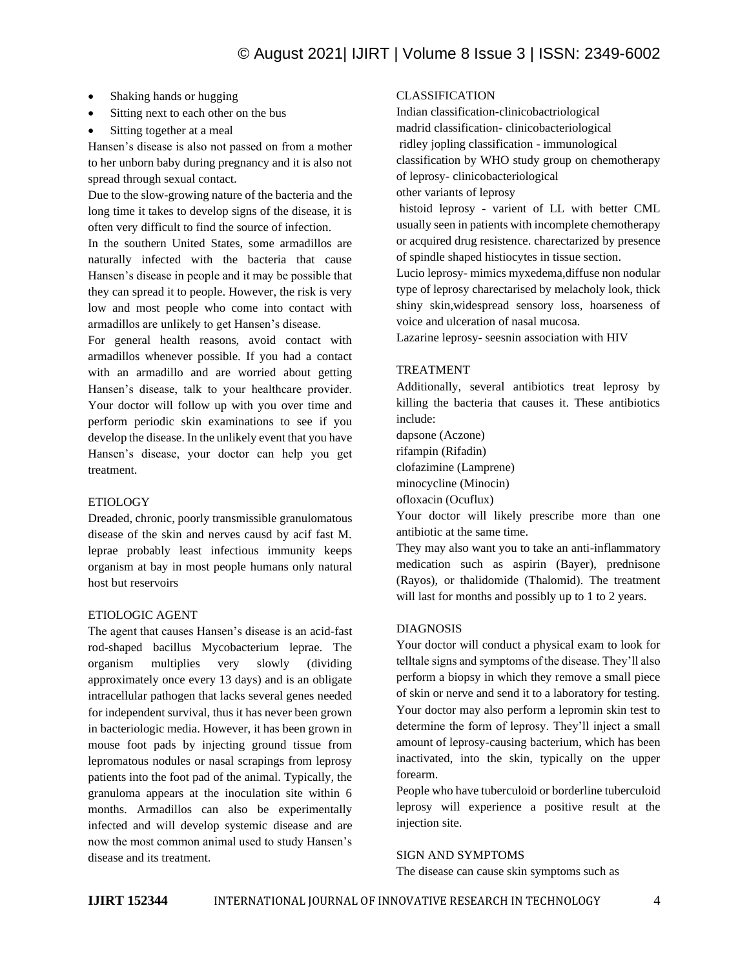- Shaking hands or hugging
- Sitting next to each other on the bus
- Sitting together at a meal

Hansen's disease is also not passed on from a mother to her unborn baby during pregnancy and it is also not spread through sexual contact.

Due to the slow-growing nature of the bacteria and the long time it takes to develop signs of the disease, it is often very difficult to find the source of infection.

In the southern United States, some armadillos are naturally infected with the bacteria that cause Hansen's disease in people and it may be possible that they can spread it to people. However, the risk is very low and most people who come into contact with armadillos are unlikely to get Hansen's disease.

For general health reasons, avoid contact with armadillos whenever possible. If you had a contact with an armadillo and are worried about getting Hansen's disease, talk to your healthcare provider. Your doctor will follow up with you over time and perform periodic skin examinations to see if you develop the disease. In the unlikely event that you have Hansen's disease, your doctor can help you get treatment.

### ETIOLOGY

Dreaded, chronic, poorly transmissible granulomatous disease of the skin and nerves causd by acif fast M. leprae probably least infectious immunity keeps organism at bay in most people humans only natural host but reservoirs

### ETIOLOGIC AGENT

The agent that causes Hansen's disease is an acid-fast rod-shaped bacillus Mycobacterium leprae. The organism multiplies very slowly (dividing approximately once every 13 days) and is an obligate intracellular pathogen that lacks several genes needed for independent survival, thus it has never been grown in bacteriologic media. However, it has been grown in mouse foot pads by injecting ground tissue from lepromatous nodules or nasal scrapings from leprosy patients into the foot pad of the animal. Typically, the granuloma appears at the inoculation site within 6 months. Armadillos can also be experimentally infected and will develop systemic disease and are now the most common animal used to study Hansen's disease and its treatment.

## CLASSIFICATION

Indian classification-clinicobactriological madrid classification- clinicobacteriological ridley jopling classification - immunological classification by WHO study group on chemotherapy of leprosy- clinicobacteriological other variants of leprosy

histoid leprosy - varient of LL with better CML usually seen in patients with incomplete chemotherapy or acquired drug resistence. charectarized by presence of spindle shaped histiocytes in tissue section.

Lucio leprosy- mimics myxedema,diffuse non nodular type of leprosy charectarised by melacholy look, thick shiny skin,widespread sensory loss, hoarseness of voice and ulceration of nasal mucosa.

Lazarine leprosy- seesnin association with HIV

### TREATMENT

Additionally, several antibiotics treat leprosy by killing the bacteria that causes it. These antibiotics include:

dapsone (Aczone)

rifampin (Rifadin)

clofazimine (Lamprene)

minocycline (Minocin)

ofloxacin (Ocuflux)

Your doctor will likely prescribe more than one antibiotic at the same time.

They may also want you to take an anti-inflammatory medication such as aspirin (Bayer), prednisone (Rayos), or thalidomide (Thalomid). The treatment will last for months and possibly up to 1 to 2 years.

### DIAGNOSIS

Your doctor will conduct a physical exam to look for telltale signs and symptoms of the disease. They'll also perform a biopsy in which they remove a small piece of skin or nerve and send it to a laboratory for testing. Your doctor may also perform a lepromin skin test to determine the form of leprosy. They'll inject a small amount of leprosy-causing bacterium, which has been inactivated, into the skin, typically on the upper forearm.

People who have tuberculoid or borderline tuberculoid leprosy will experience a positive result at the injection site.

### SIGN AND SYMPTOMS

The disease can cause skin symptoms such as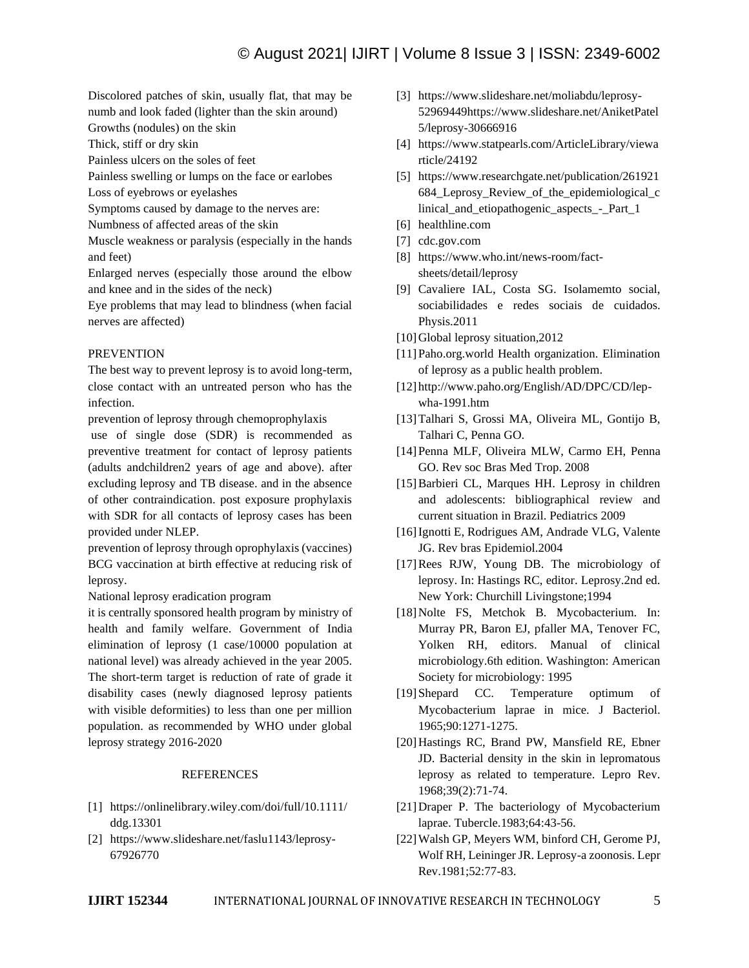Discolored patches of skin, usually flat, that may be numb and look faded (lighter than the skin around)

Growths (nodules) on the skin

Thick, stiff or dry skin

Painless ulcers on the soles of feet

Painless swelling or lumps on the face or earlobes Loss of eyebrows or eyelashes

Symptoms caused by damage to the nerves are:

Numbness of affected areas of the skin

Muscle weakness or paralysis (especially in the hands and feet)

Enlarged nerves (especially those around the elbow and knee and in the sides of the neck)

Eye problems that may lead to blindness (when facial nerves are affected)

## PREVENTION

The best way to prevent leprosy is to avoid long-term, close contact with an untreated person who has the infection.

prevention of leprosy through chemoprophylaxis

use of single dose (SDR) is recommended as preventive treatment for contact of leprosy patients (adults andchildren2 years of age and above). after excluding leprosy and TB disease. and in the absence of other contraindication. post exposure prophylaxis with SDR for all contacts of leprosy cases has been provided under NLEP.

prevention of leprosy through oprophylaxis (vaccines) BCG vaccination at birth effective at reducing risk of leprosy.

National leprosy eradication program

it is centrally sponsored health program by ministry of health and family welfare. Government of India elimination of leprosy (1 case/10000 population at national level) was already achieved in the year 2005. The short-term target is reduction of rate of grade it disability cases (newly diagnosed leprosy patients with visible deformities) to less than one per million population. as recommended by WHO under global leprosy strategy 2016-2020

# REFERENCES

- [1] https://onlinelibrary.wiley.com/doi/full/10.1111/ ddg.13301
- [2] https://www.slideshare.net/faslu1143/leprosy-67926770
- [3] https://www.slideshare.net/moliabdu/leprosy-52969449https://www.slideshare.net/AniketPatel 5/leprosy-30666916
- [4] https://www.statpearls.com/ArticleLibrary/viewa rticle/24192
- [5] https://www.researchgate.net/publication/261921 684\_Leprosy\_Review\_of\_the\_epidemiological\_c linical\_and\_etiopathogenic\_aspects\_-\_Part\_1
- [6] healthline.com
- [7] cdc.gov.com
- [8] https://www.who.int/news-room/factsheets/detail/leprosy
- [9] Cavaliere IAL, Costa SG. Isolamemto social, sociabilidades e redes sociais de cuidados. Physis.2011
- [10] Global leprosy situation, 2012
- [11]Paho.org.world Health organization. Elimination of leprosy as a public health problem.
- [12] http://www.paho.org/English/AD/DPC/CD/lepwha-1991.htm
- [13]Talhari S, Grossi MA, Oliveira ML, Gontijo B, Talhari C, Penna GO.
- [14]Penna MLF, Oliveira MLW, Carmo EH, Penna GO. Rev soc Bras Med Trop. 2008
- [15]Barbieri CL, Marques HH. Leprosy in children and adolescents: bibliographical review and current situation in Brazil. Pediatrics 2009
- [16]Ignotti E, Rodrigues AM, Andrade VLG, Valente JG. Rev bras Epidemiol.2004
- [17]Rees RJW, Young DB. The microbiology of leprosy. In: Hastings RC, editor. Leprosy.2nd ed. New York: Churchill Livingstone;1994
- [18]Nolte FS, Metchok B. Mycobacterium. In: Murray PR, Baron EJ, pfaller MA, Tenover FC, Yolken RH, editors. Manual of clinical microbiology.6th edition. Washington: American Society for microbiology: 1995
- [19]Shepard CC. Temperature optimum of Mycobacterium laprae in mice. J Bacteriol. 1965;90:1271-1275.
- [20]Hastings RC, Brand PW, Mansfield RE, Ebner JD. Bacterial density in the skin in lepromatous leprosy as related to temperature. Lepro Rev. 1968;39(2):71-74.
- [21]Draper P. The bacteriology of Mycobacterium laprae. Tubercle.1983;64:43-56.
- [22]Walsh GP, Meyers WM, binford CH, Gerome PJ, Wolf RH, Leininger JR. Leprosy-a zoonosis. Lepr Rev.1981;52:77-83.